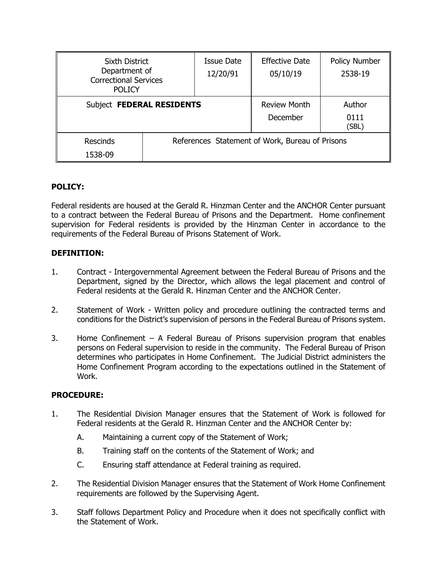| <b>Sixth District</b><br>Department of<br><b>Correctional Services</b><br><b>POLICY</b> |                                                 | Issue Date<br>12/20/91 | <b>Effective Date</b><br>05/10/19 | Policy Number<br>2538-19 |
|-----------------------------------------------------------------------------------------|-------------------------------------------------|------------------------|-----------------------------------|--------------------------|
| Subject FEDERAL RESIDENTS                                                               |                                                 |                        | <b>Review Month</b><br>December   | Author<br>0111<br>(SBL)  |
| <b>Rescinds</b><br>1538-09                                                              | References Statement of Work, Bureau of Prisons |                        |                                   |                          |

## **POLICY:**

Federal residents are housed at the Gerald R. Hinzman Center and the ANCHOR Center pursuant to a contract between the Federal Bureau of Prisons and the Department. Home confinement supervision for Federal residents is provided by the Hinzman Center in accordance to the requirements of the Federal Bureau of Prisons Statement of Work.

### **DEFINITION:**

- 1. Contract Intergovernmental Agreement between the Federal Bureau of Prisons and the Department, signed by the Director, which allows the legal placement and control of Federal residents at the Gerald R. Hinzman Center and the ANCHOR Center.
- 2. Statement of Work Written policy and procedure outlining the contracted terms and conditions for the District's supervision of persons in the Federal Bureau of Prisons system.
- 3. Home Confinement A Federal Bureau of Prisons supervision program that enables persons on Federal supervision to reside in the community. The Federal Bureau of Prison determines who participates in Home Confinement. The Judicial District administers the Home Confinement Program according to the expectations outlined in the Statement of Work.

### **PROCEDURE:**

- 1. The Residential Division Manager ensures that the Statement of Work is followed for Federal residents at the Gerald R. Hinzman Center and the ANCHOR Center by:
	- A. Maintaining a current copy of the Statement of Work;
	- B. Training staff on the contents of the Statement of Work; and
	- C. Ensuring staff attendance at Federal training as required.
- 2. The Residential Division Manager ensures that the Statement of Work Home Confinement requirements are followed by the Supervising Agent.
- 3. Staff follows Department Policy and Procedure when it does not specifically conflict with the Statement of Work.